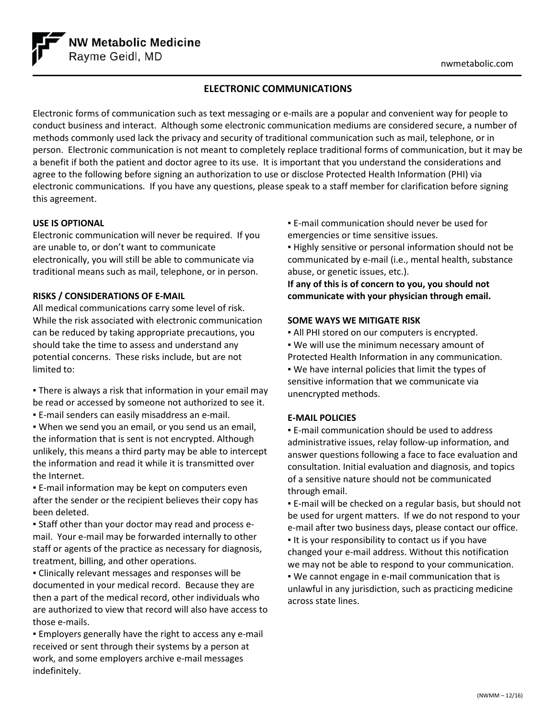

# **ELECTRONIC COMMUNICATIONS**

Electronic forms of communication such as text messaging or e-mails are a popular and convenient way for people to conduct business and interact. Although some electronic communication mediums are considered secure, a number of methods commonly used lack the privacy and security of traditional communication such as mail, telephone, or in person. Electronic communication is not meant to completely replace traditional forms of communication, but it may be a benefit if both the patient and doctor agree to its use. It is important that you understand the considerations and agree to the following before signing an authorization to use or disclose Protected Health Information (PHI) via electronic communications. If you have any questions, please speak to a staff member for clarification before signing this agreement.

## **USE IS OPTIONAL**

Electronic communication will never be required. If you are unable to, or don't want to communicate electronically, you will still be able to communicate via traditional means such as mail, telephone, or in person.

## **RISKS / CONSIDERATIONS OF E-MAIL**

All medical communications carry some level of risk. While the risk associated with electronic communication can be reduced by taking appropriate precautions, you should take the time to assess and understand any potential concerns. These risks include, but are not limited to:

• There is always a risk that information in your email may be read or accessed by someone not authorized to see it. ▪ E-mail senders can easily misaddress an e-mail.

▪ When we send you an email, or you send us an email, the information that is sent is not encrypted. Although unlikely, this means a third party may be able to intercept the information and read it while it is transmitted over the Internet.

**E-mail information may be kept on computers even** after the sender or the recipient believes their copy has been deleted.

▪ Staff other than your doctor may read and process email. Your e-mail may be forwarded internally to other staff or agents of the practice as necessary for diagnosis, treatment, billing, and other operations.

▪ Clinically relevant messages and responses will be documented in your medical record. Because they are then a part of the medical record, other individuals who are authorized to view that record will also have access to those e-mails.

**Employers generally have the right to access any e-mail** received or sent through their systems by a person at work, and some employers archive e-mail messages indefinitely.

▪ E-mail communication should never be used for emergencies or time sensitive issues.

▪ Highly sensitive or personal information should not be communicated by e-mail (i.e., mental health, substance abuse, or genetic issues, etc.).

**If any of this is of concern to you, you should not communicate with your physician through email.** 

### **SOME WAYS WE MITIGATE RISK**

- All PHI stored on our computers is encrypted.
- We will use the minimum necessary amount of
- Protected Health Information in any communication.

▪ We have internal policies that limit the types of sensitive information that we communicate via unencrypted methods.

## **E-MAIL POLICIES**

▪ E-mail communication should be used to address administrative issues, relay follow-up information, and answer questions following a face to face evaluation and consultation. Initial evaluation and diagnosis, and topics of a sensitive nature should not be communicated through email.

▪ E-mail will be checked on a regular basis, but should not be used for urgent matters. If we do not respond to your e-mail after two business days, please contact our office. ▪ It is your responsibility to contact us if you have changed your e-mail address. Without this notification we may not be able to respond to your communication. ▪ We cannot engage in e-mail communication that is unlawful in any jurisdiction, such as practicing medicine across state lines.